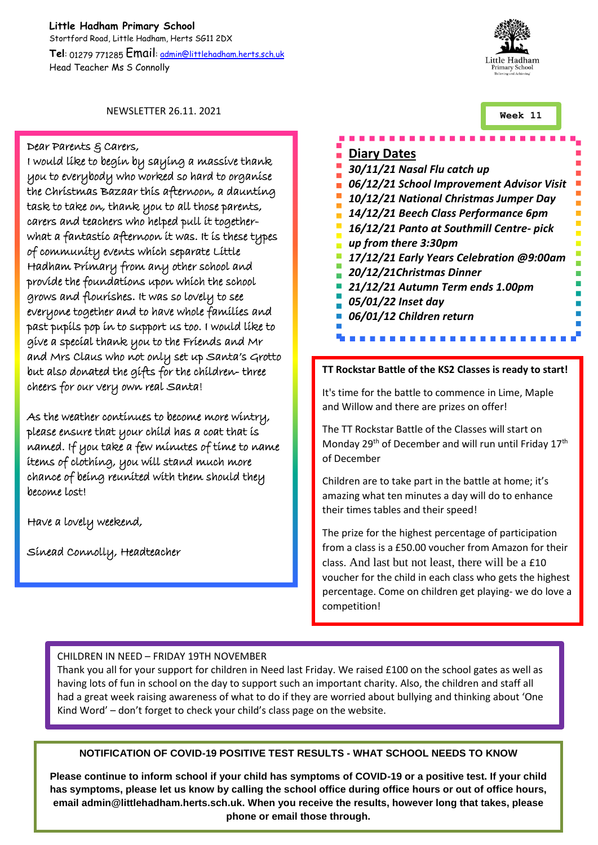**Little Hadham Primary School** Stortford Road, Little Hadham, Herts SG11 2DX **Tel**: 01279 771285 Email: admin@littlehadham.herts.sch.uk Head Teacher Ms S Connolly



**Week 11**

NEWSLETTER 26.11. 2021

#### Dear Parents & Carers,

I would like to begin by saying a massive thank you to everybody who worked so hard to organise the Christmas Bazaar this afternoon, a daunting task to take on, thank you to all those parents, carers and teachers who helped pull it togetherwhat a fantastic afternoon it was. It is these types of community events which separate Little Hadham Primary from any other school and provide the foundations upon which the school grows and flourishes. It was so lovely to see everyone together and to have whole families and past pupils pop in to support us too. I would like to give a special thank you to the Friends and Mr and Mrs Claus who not only set up Santa's Grotto but also donated the gifts for the children- three cheers for our very own real Santa!

As the weather continues to become more wintry, please ensure that your child has a coat that is named. If you take a few minutes of time to name items of clothing, you will stand much more chance of being reunited with them should they become lost!

Have a lovely weekend,

Sinead Connolly, Headteacher

## **Diary Dates** *30/11/21 Nasal Flu catch up 06/12/21 School Improvement Advisor Visit 10/12/21 National Christmas Jumper Day 14/12/21 Beech Class Performance 6pm 16/12/21 Panto at Southmill Centre- pick up from there 3:30pm 17/12/21 Early Years Celebration @9:00am 20/12/21Christmas Dinner 21/12/21 Autumn Term ends 1.00pm 05/01/22 Inset day 06/01/12 Children return*

#### **TT Rockstar Battle of the KS2 Classes is ready to start!**

It's time for the battle to commence in Lime, Maple and Willow and there are prizes on offer!

The TT Rockstar Battle of the Classes will start on Monday 29<sup>th</sup> of December and will run until Friday 17<sup>th</sup> of December

Children are to take part in the battle at home; it's amazing what ten minutes a day will do to enhance their times tables and their speed!

The prize for the highest percentage of participation from a class is a £50.00 voucher from Amazon for their class. And last but not least, there will be a £10 voucher for the child in each class who gets the highest percentage. Come on children get playing- we do love a competition!

#### CHILDREN IN NEED – FRIDAY 19TH NOVEMBER

Thank you all for your support for children in Need last Friday. We raised £100 on the school gates as well as having lots of fun in school on the day to support such an important charity. Also, the children and staff all had a great week raising awareness of what to do if they are worried about bullying and thinking about 'One Kind Word' – don't forget to check your child's class page on the website.

### **NOTIFICATION OF COVID-19 POSITIVE TEST RESULTS - WHAT SCHOOL NEEDS TO KNOW**

**Please continue to inform school if your child has symptoms of COVID-19 or a positive test. If your child has symptoms, please let us know by calling the school office during office hours or out of office hours, email admin@littlehadham.herts.sch.uk. When you receive the results, however long that takes, please phone or email those through.**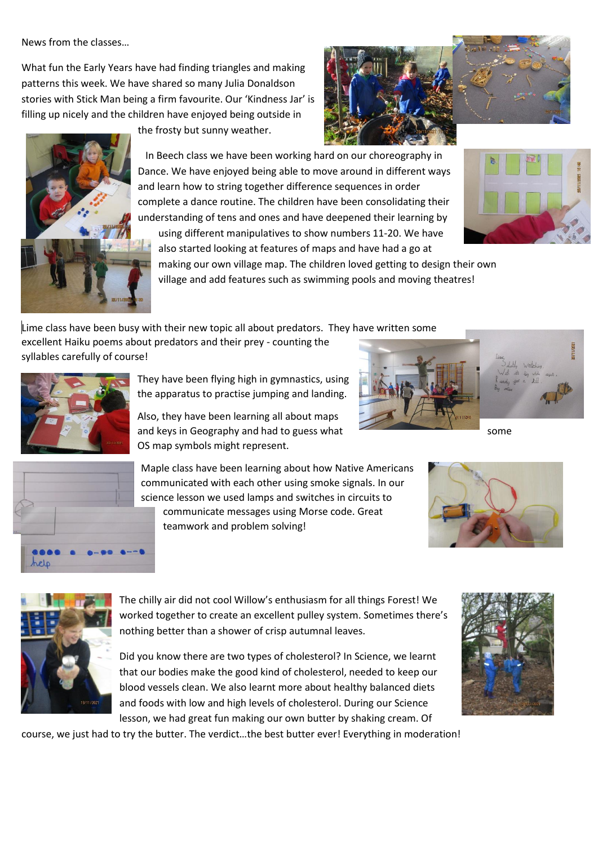News from the classes…

What fun the Early Years have had finding triangles and making patterns this week. We have shared so many Julia Donaldson stories with Stick Man being a firm favourite. Our 'Kindness Jar' is filling up nicely and the children have enjoyed being outside in

the frosty but sunny weather.



 In Beech class we have been working hard on our choreography in Dance. We have enjoyed being able to move around in different ways and learn how to string together difference sequences in order complete a dance routine. The children have been consolidating their understanding of tens and ones and have deepened their learning by using different manipulatives to show numbers 11-20. We have

also started looking at features of maps and have had a go at



making our own village map. The children loved getting to design their own village and add features such as swimming pools and moving theatres!

Lime class have been busy with their new topic all about predators. They have written some excellent Haiku poems about predators and their prey - counting the syllables carefully of course!



They have been flying high in gymnastics, using the apparatus to practise jumping and landing.

Also, they have been learning all about maps and keys in Geography and had to guess what some some OS map symbols might represent.





Maple class have been learning about how Native Americans communicated with each other using smoke signals. In our science lesson we used lamps and switches in circuits to communicate messages using Morse code. Great teamwork and problem solving!





The chilly air did not cool Willow's enthusiasm for all things Forest! We worked together to create an excellent pulley system. Sometimes there's nothing better than a shower of crisp autumnal leaves.

Did you know there are two types of cholesterol? In Science, we learnt that our bodies make the good kind of cholesterol, needed to keep our blood vessels clean. We also learnt more about healthy balanced diets and foods with low and high levels of cholesterol. During our Science lesson, we had great fun making our own butter by shaking cream. Of

course, we just had to try the butter. The verdict…the best butter ever! Everything in moderation!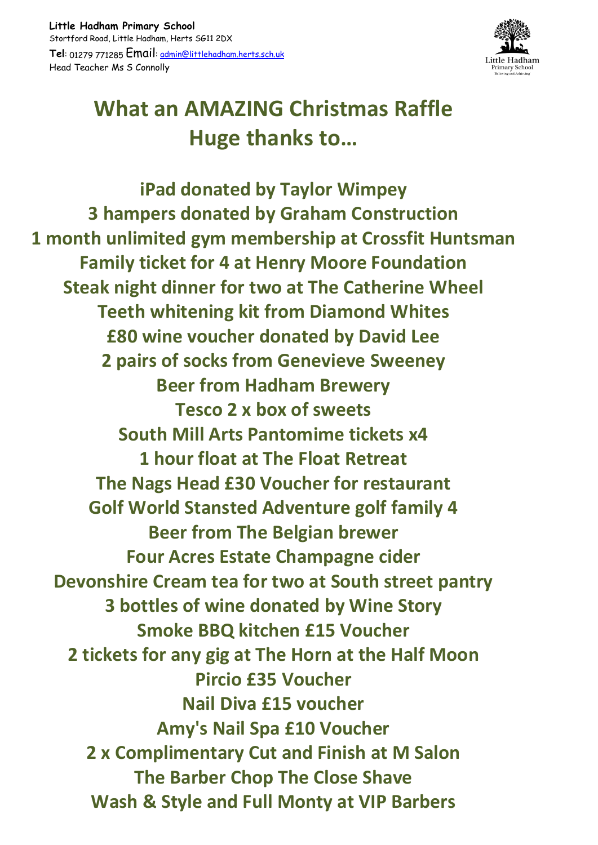

# **What an AMAZING Christmas Raffle Huge thanks to…**

**iPad donated by Taylor Wimpey 3 hampers donated by Graham Construction 1 month unlimited gym membership at Crossfit Huntsman Family ticket for 4 at Henry Moore Foundation Steak night dinner for two at The Catherine Wheel Teeth whitening kit from Diamond Whites £80 wine voucher donated by David Lee 2 pairs of socks from Genevieve Sweeney Beer from Hadham Brewery Tesco 2 x box of sweets South Mill Arts Pantomime tickets x4 1 hour float at The Float Retreat The Nags Head £30 Voucher for restaurant Golf World Stansted Adventure golf family 4 Beer from The Belgian brewer Four Acres Estate Champagne cider Devonshire Cream tea for two at South street pantry 3 bottles of wine donated by Wine Story Smoke BBQ kitchen £15 Voucher 2 tickets for any gig at The Horn at the Half Moon Pircio £35 Voucher Nail Diva £15 voucher Amy's Nail Spa £10 Voucher 2 x Complimentary Cut and Finish at M Salon The Barber Chop The Close Shave Wash & Style and Full Monty at VIP Barbers**